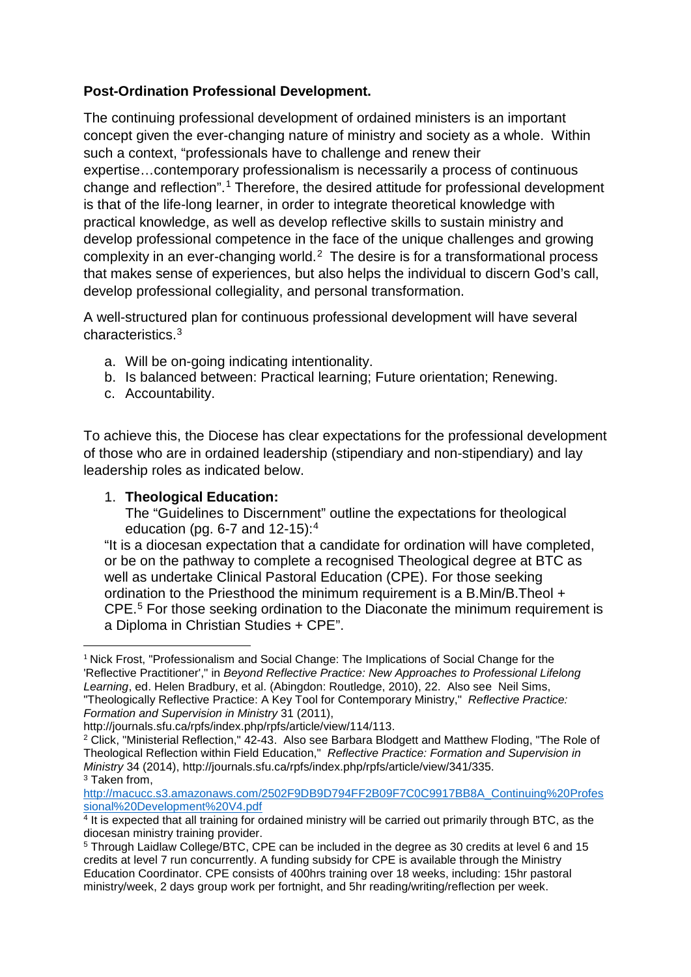## **Post-Ordination Professional Development.**

The continuing professional development of ordained ministers is an important concept given the ever-changing nature of ministry and society as a whole. Within such a context, "professionals have to challenge and renew their expertise…contemporary professionalism is necessarily a process of continuous change and reflection".[1](#page-0-0) Therefore, the desired attitude for professional development is that of the life-long learner, in order to integrate theoretical knowledge with practical knowledge, as well as develop reflective skills to sustain ministry and develop professional competence in the face of the unique challenges and growing complexity in an ever-changing world. [2](#page-0-1) The desire is for a transformational process that makes sense of experiences, but also helps the individual to discern God's call, develop professional collegiality, and personal transformation.

A well-structured plan for continuous professional development will have several characteristics.[3](#page-0-2)

- a. Will be on-going indicating intentionality.
- b. Is balanced between: Practical learning; Future orientation; Renewing.
- c. Accountability.

To achieve this, the Diocese has clear expectations for the professional development of those who are in ordained leadership (stipendiary and non-stipendiary) and lay leadership roles as indicated below.

## 1. **Theological Education:**

The "Guidelines to Discernment" outline the expectations for theological education (pg.  $6-7$  and  $12-15$ ):<sup>[4](#page-0-3)</sup>

"It is a diocesan expectation that a candidate for ordination will have completed, or be on the pathway to complete a recognised Theological degree at BTC as well as undertake Clinical Pastoral Education (CPE). For those seeking ordination to the Priesthood the minimum requirement is a B.Min/B.Theol + CPE. [5](#page-0-4) For those seeking ordination to the Diaconate the minimum requirement is a Diploma in Christian Studies + CPE".

<span id="page-0-0"></span><sup>&</sup>lt;sup>1</sup> Nick Frost, "Professionalism and Social Change: The Implications of Social Change for the 'Reflective Practitioner'," in *Beyond Reflective Practice: New Approaches to Professional Lifelong Learning*, ed. Helen Bradbury, et al. (Abingdon: Routledge, 2010), 22. Also see Neil Sims, "Theologically Reflective Practice: A Key Tool for Contemporary Ministry," *Reflective Practice: Formation and Supervision in Ministry* 31 (2011),

http://journals.sfu.ca/rpfs/index.php/rpfs/article/view/114/113.

<span id="page-0-1"></span><sup>2</sup> Click, "Ministerial Reflection," 42-43. Also see Barbara Blodgett and Matthew Floding, "The Role of Theological Reflection within Field Education," *Reflective Practice: Formation and Supervision in Ministry* 34 (2014), http://journals.sfu.ca/rpfs/index.php/rpfs/article/view/341/335. <sup>3</sup> Taken from,

<span id="page-0-2"></span>[http://macucc.s3.amazonaws.com/2502F9DB9D794FF2B09F7C0C9917BB8A\\_Continuing%20Profes](http://macucc.s3.amazonaws.com/2502F9DB9D794FF2B09F7C0C9917BB8A_Continuing%20Professional%20Development%20V4.pdf) [sional%20Development%20V4.pdf](http://macucc.s3.amazonaws.com/2502F9DB9D794FF2B09F7C0C9917BB8A_Continuing%20Professional%20Development%20V4.pdf)

<span id="page-0-3"></span> $4$  It is expected that all training for ordained ministry will be carried out primarily through BTC, as the diocesan ministry training provider.

<span id="page-0-4"></span><sup>5</sup> Through Laidlaw College/BTC, CPE can be included in the degree as 30 credits at level 6 and 15 credits at level 7 run concurrently. A funding subsidy for CPE is available through the Ministry Education Coordinator. CPE consists of 400hrs training over 18 weeks, including: 15hr pastoral ministry/week, 2 days group work per fortnight, and 5hr reading/writing/reflection per week.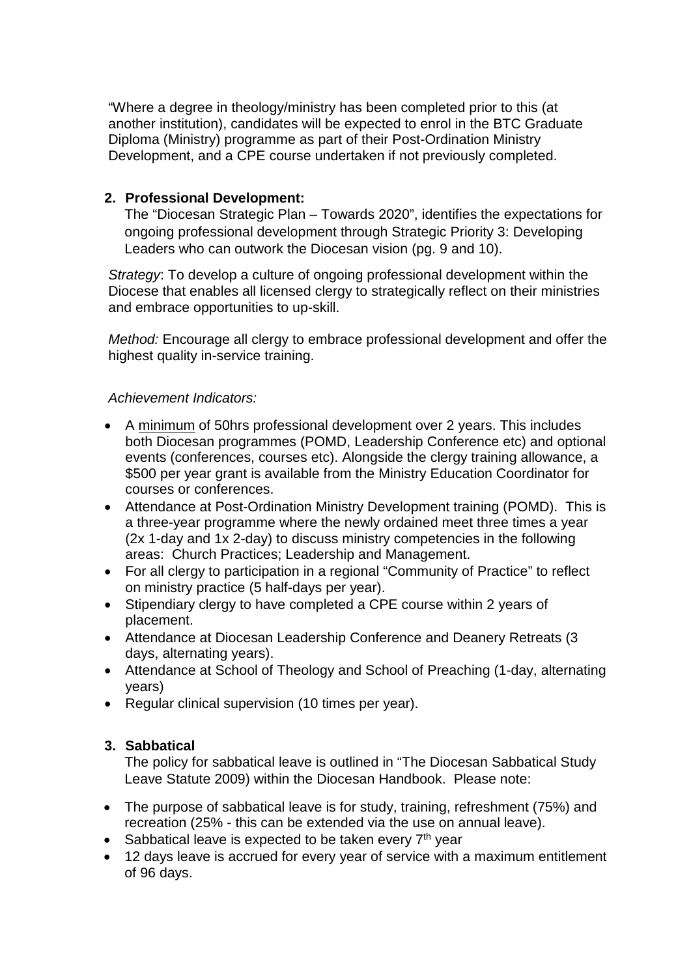"Where a degree in theology/ministry has been completed prior to this (at another institution), candidates will be expected to enrol in the BTC Graduate Diploma (Ministry) programme as part of their Post-Ordination Ministry Development, and a CPE course undertaken if not previously completed.

## **2. Professional Development:**

The "Diocesan Strategic Plan – Towards 2020", identifies the expectations for ongoing professional development through Strategic Priority 3: Developing Leaders who can outwork the Diocesan vision (pg. 9 and 10).

*Strategy*: To develop a culture of ongoing professional development within the Diocese that enables all licensed clergy to strategically reflect on their ministries and embrace opportunities to up-skill.

*Method:* Encourage all clergy to embrace professional development and offer the highest quality in-service training.

*Achievement Indicators:*

- A minimum of 50hrs professional development over 2 years. This includes both Diocesan programmes (POMD, Leadership Conference etc) and optional events (conferences, courses etc). Alongside the clergy training allowance, a \$500 per year grant is available from the Ministry Education Coordinator for courses or conferences.
- Attendance at Post-Ordination Ministry Development training (POMD). This is a three-year programme where the newly ordained meet three times a year (2x 1-day and 1x 2-day) to discuss ministry competencies in the following areas: Church Practices; Leadership and Management.
- For all clergy to participation in a regional "Community of Practice" to reflect on ministry practice (5 half-days per year).
- Stipendiary clergy to have completed a CPE course within 2 years of placement.
- Attendance at Diocesan Leadership Conference and Deanery Retreats (3 days, alternating years).
- Attendance at School of Theology and School of Preaching (1-day, alternating years)
- Regular clinical supervision (10 times per year).

## **3. Sabbatical**

The policy for sabbatical leave is outlined in "The Diocesan Sabbatical Study Leave Statute 2009) within the Diocesan Handbook. Please note:

- The purpose of sabbatical leave is for study, training, refreshment (75%) and recreation (25% - this can be extended via the use on annual leave).
- Sabbatical leave is expected to be taken every  $7<sup>th</sup>$  year
- 12 days leave is accrued for every year of service with a maximum entitlement of 96 days.